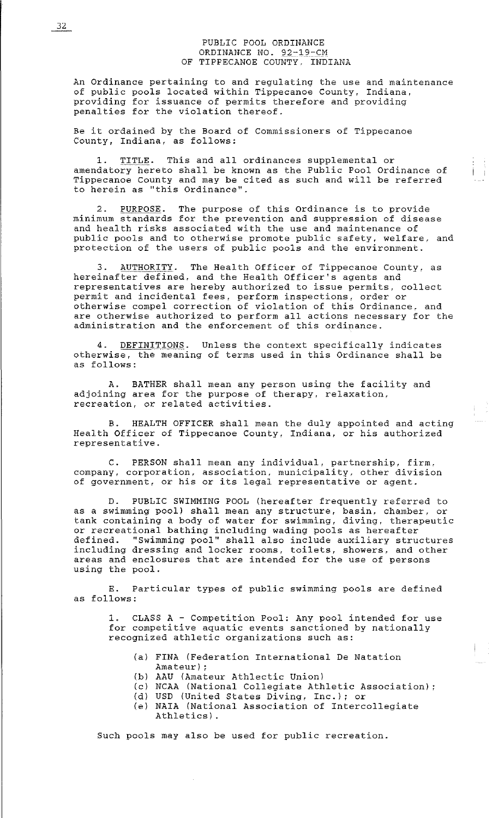### PUBLIC POOL ORDINANCE ORDINANCE NO. 92-19-CM OF TIPPECANOE COUNTY. INDIANA

An Ordinance pertaining to and regulating the use and maintenance of public pools located within Tippecanoe County, Indiana, providing for issuance of permits therefore and providing penalties for the violation thereof.

Be it ordained by the Board of Commissioners of Tippecanoe County, Indiana, as follows:

1. TITLE. This and all ordinances supplemental or amendatory hereto shall be known as the Public Pool Ordinance of Tippecanoe County and may be cited as such and will be referred to herein as ''this Ordinance''.

2. PURPOSE. The purpose of this Ordinance is to provide minimum standards for the prevention and suppression of disease and health risks associated with the use and maintenance of public pools and to otherwise promote public safety, welfare, and protection of the users of public pools and the environment.

3. AUTHORITY. The Health Officer of Tippecanoe County, as hereinafter defined, and the Health Officer's agents and representatives are hereby authorized to issue permits, collect permit and incidental fees, perform inspections, order or otherwise compel correction of violation of this Ordinance, and are otherwise authorized to perform all actions necessary for the administration and the enforcement of this ordinance.

4. DEFINITIONS. Unless the context specifically indicates otherwise, the meaning of terms used in this Ordinance shall be as follows:

A. BATHER shall mean any person using the facility and adjoining area for the purpose of therapy, relaxation, recreation, or related activities.

B. HEALTH OFFICER shall mean the duly appointed and acting Health Officer of Tippecanoe County, Indiana, or his authorized representative.

C. PERSON shall mean any individual, partnership, firm, company, corporation, association, municipality, other division of government, or his or its legal representative or agent.

D. PUBLIC SWIMMING POOL (hereafter frequently referred to as a swimming pool) shall mean any structure, basin, chamber, or tank containing a body of water for swimming, diving, therapeutic or recreational bathing including wading pools as hereafter defined. "Swimming pool" shall also include auxiliary structures including dressing and locker rooms, toilets, showers, and other areas and enclosures that are intended for the use of persons using the pool.

E. Particular types of public swimming pools are defined as follows:

1. CLASS A - Competition Pool: Any pool intended for use for competitive aquatic events sanctioned by nationally recognized athletic organizations such as:

- (a) FINA (Federation International De Natation Amateur) ;
- (b) AAU (Amateur Athlectic Union)
- (c) NCAA (National Collegiate Athletic Association);
- (d) USD (United States Diving, Inc.); or
- (e) NAIA (National Association of Intercollegiate Athletics).

Such pools may also be used for public recreation.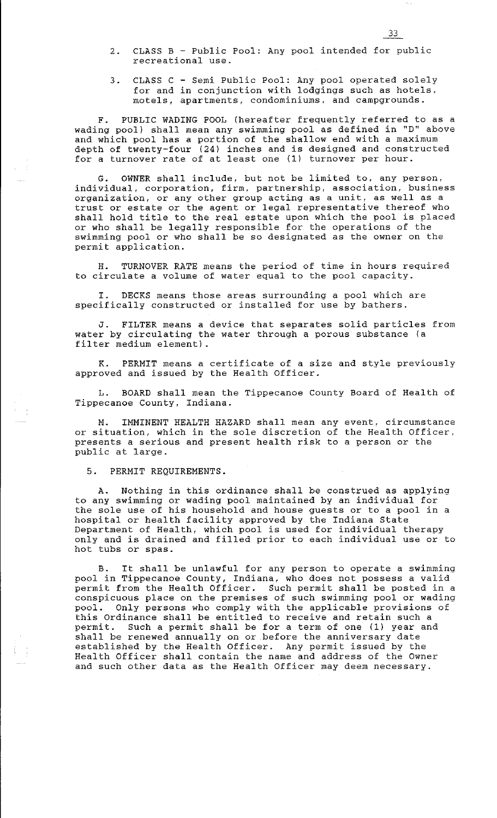- 2. CLASS B Public Pool: Any pool intended for public recreational use.
- 3. CLASS C Semi Public Pool: Any pool operated solely for and in conjunction with lodgings such as hotels, motels, apartments, condominiums, and campgrounds.

F. PUBLIC WADING POOL (hereafter frequently referred to as a wading pool) shall mean any swimming pool as defined in "D" above and which pool has a portion of the shallow end with a maximum depth of twenty-four (24) inches and is designed and constructed depen or ewency roar (21) inches and 15 decision and consent

G. OWNER shall include, but not be limited to, any person, individual, corporation, firm, partnership, association, business organization, or any other group acting as a unit, as well as a trust or estate or the agent or legal representative thereof who shall hold title to the real estate upon which the pool is placed or who shall be legally responsible for the operations of the swimming pool or who shall be so designated as the owner on the permit application.

H. TURNOVER RATE means the period of time in hours required to circulate a volume of water equal to the pool capacity.

I. DECKS means those areas surrounding a pool which are specifically constructed or installed for use by bathers.

FILTER means a device that separates solid particles from water by circulating the water through a porous substance (a filter medium element).

K. PERMIT means a certificate of a size and style previously approved and issued by the Health Officer.

L. BOARD shall mean the Tippecanoe County Board of Health of Tippecanoe County, Indiana.

M. IMMINENT HEALTH HAZARD shall mean any event, circumstance or situation, which in the sole discretion of the Health Officer, presents a serious and present health risk to a person or the public at large.

5. PERMIT REQUIREMENTS.

 $\frac{1}{4} \left( \begin{array}{c} 1 \\ 1 \end{array} \right)$ 

A. Nothing in this ordinance shall be construed as applying to any swimming or wading pool maintained by an individual for the sole use of his household and house guests or to a pool in a hospital or health facility approved by the Indiana State Department of Health, which pool is used for individual therapy only and is drained and filled prior to each individual use or to hot tubs or spas.

B. It shall be unlawful for any person to operate a swimming pool in Tippecanoe County, Indiana, who does not possess a valid permit from the Health Officer. Such permit shall be posted in a conspicuous place on the premises of such swimming pool or wading pool. Only persons who comply with the applicable provisions of posi. Only persons and comply with the appricable provisions this Ordinance shall be entitled to receive and retain such a permit. Such a permit shall be for a term of one (1) year and shall be renewed annually on or before the anniversary date established by the Health Officer. Any permit issued by the Health Officer shall contain the name and address of the Owner and such other data as the Health Officer may deem necessary.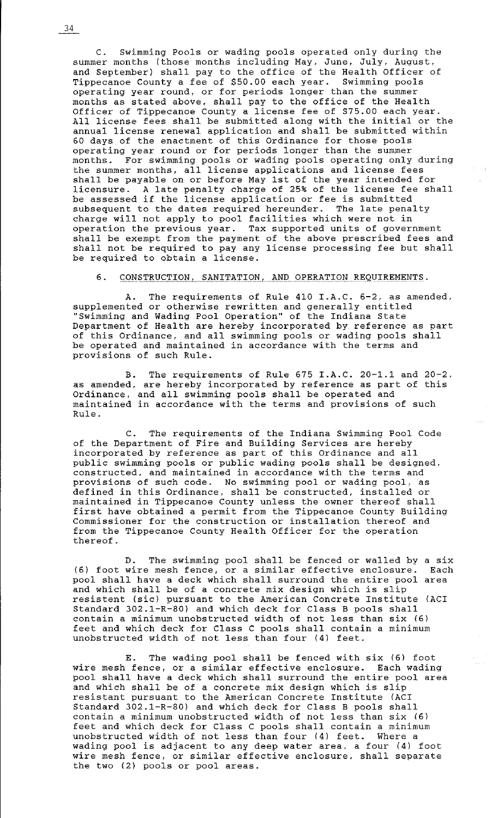C. Swimming Pools or wading pools operated only during the summer months (those months including May, June, July, August, and September) shall pay to the office of the Health Officer of Tippecanoe County a fee of \$50.00 each year. Swimming pools operating year round, or for periods longer than the summer months as stated above, shall pay to the office of the Health Officer of Tippecanoe County a license fee of \$75.00 each year. All license fees shall be submitted along with the initial or the annual license renewal application and shall be submitted within 60 days of the enactment of this Ordinance for those pools operating year round or for periods longer than the summer months. For swimming pools or wading pools operating only during months. Tor swimming pools of wading pools operating only at shall be payable on or before May 1st of the year intended for licensure. A late penalty charge of 25% of the license fee shall be assessed if the license application or fee is submitted subsequent to the dates required hereunder. The late penalty charge will not apply to pool facilities which were not in operation the previous year. Tax supported units of government shall be exempt from the payment of the above prescribed fees and shall not be required to pay any license processing fee but shall be required to obtain a license.

6. CONSTRUCTION, SANITATION, AND OPERATION REQUIREMENTS.

A. The requirements of Rule 410 I.A.C. 6-2, as amended, supplemented or otherwise rewritten and generally entitled "Swimming and Wading Pool Operation" of the Indiana State Department of Health are hereby incorporated by reference as part of this Ordinance, and all swimming pools or wading pools shall be operated and maintained in accordance with the terms and provisions of such Rule.

B. The requirements of Rule 675 I.A.C. 20-1.1 and 20-2, as amended, are hereby incorporated by reference as part of this Ordinance, and all swimming pools shall be operated and maintained in accordance with the terms and provisions of such Rule.

C. The requirements of the Indiana Swimming Pool Code of the Department of Fire and Building Services are hereby of the beparement of time and barraing berviess are nettedy incorporated by reference as part of this Ordinance and all public swimming pools or public wading pools shall be designed, constructed, and maintained in accordance with the terms and provisions of such code. No swimming pool or wading pool, as defined in this Ordinance, shall be constructed, installed or maintained in Tippecanoe County unless the owner thereof shall first have obtained a permit from the Tippecanoe County Building Commissioner for the construction or installation thereof and from the Tippecanoe County Health Officer for the operation thereof.

D. The swimming pool shall be fenced or walled by a six wire mesh fence, or a similar effective enclosure. Each  $(6)$  foot wire mesh fence, or a similar effective enclosure. pool shall have a deck which shall surround the entire pool area and which shall be of a concrete mix design which is slip resistent (sic) pursuant to the American Concrete Institute (ACI Standard 302.1-R-80) and which deck for Class B pools shall contain a minimum unobstructed width of not less than six (6) feet and which deck for Class C pools shall contain a minimum unobstructed width of not less than four (4) feet.

E. The wading pool shall be fenced with six (6) foot wire mesh fence, or a similar effective enclosure. Each wading pool shall have a deck which shall surround the entire pool area poor shall have a acent which shall safforma ene energy pour resistant pursuant to the American Concrete Institute (ACI Standard 302.1-R-80) and which deck for Class B pools shall contain a minimum unobstructed width of not less than six (6) feet and which deck for Class C pools shall contain a minimum unobstructed width of not less than four (4) feet. Where a wading pool is adjacent to any deep water area, a four (4) foot wire mesh fence, or similar effective enclosure, shall separate the two (2) pools or pool areas.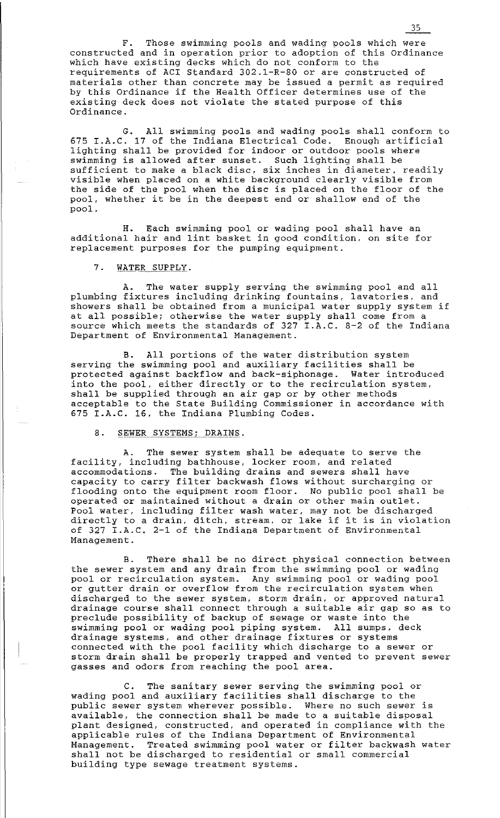F. Those swimming pools and wading pools which were constructed and in operation prior to adoption of this Ordinance which have existing decks which do not conform to the requirements of ACI Standard 302.1-R-80 or are constructed of materials other than concrete may be issued a permit as required materiars other than concrete may be issued a permit as reduit existing deck does not violate the stated purpose of this Ordinance.

G. All swimming pools and wading pools shall conform to 675 I.A.C. 17 of the Indiana Electrical Code. Enough artificial lighting shall be provided for indoor or outdoor pools where swimming is allowed after sunset. Such lighting shall be sufficient to make a black disc, six inches in diameter, readily visible when placed on a white background clearly visible from the side of the pool when the disc is placed on the floor of the pool, whether it be in the deepest end or shallow end of the pool.

H. Each swimming pool or wading pool shall have an additional hair and lint basket in good condition, on site for replacement purposes for the pumping equipment.

### 7. WATER SUPPLY.

A. The water supply serving the swimming pool and all plumbing fixtures including drinking fountains, lavatories, and showers shall be obtained from a municipal water supply system if at all possible; otherwise the water supply shall come from a source which meets the standards of 327 I.A.C. 8-2 of the Indiana Department of Environmental Management.

B. All portions of the water distribution system serving the swimming pool and auxiliary facilities shall be protected against backflow and back-siphonage. Water introduced into the pool, either directly or to the recirculation system, shall be supplied through an air gap or by other methods acceptable to the State Building Commissioner in accordance with 675 I.A.C. 16, the Indiana Plumbing Codes.

### 8. SEWER SYSTEMS; DRAINS.

A. The sewer system shall be adequate to serve the facility, including bathhouse, locker room, and related accommodations. The building drains and sewers shall have capacity to carry filter backwash flows without surcharging or flooding onto the equipment room floor. No public pool shall be operated or maintained without a drain or other main outlet. Pool water, including filter wash water, may not be discharged Pool water, including filter wash water, may not be discharged<br>directly to a drain, ditch, stream, or lake if it is in violation of 327 I.A.C. 2-1 of the Indiana Department of Environmental Management.

B. There shall be no direct physical connection between the sewer system and any drain from the swimming pool or wading pool or recirculation system. Any swimming pool or wading pool or gutter drain or overflow from the recirculation system when discharged to the sewer system, storm drain, or approved natural drainage course shall connect through a suitable air gap so as to preclude possibility of backup of sewage or waste into the swimming pool or wading pool piping system. All sumps, deck drainage systems, and other drainage fixtures or systems connected with the pool facility which discharge to a sewer or storm drain shall be properly trapped and vented to prevent sewer gasses and odors from reaching the pool area.

C. The sanitary sewer serving the swimming pool or wading pool and auxiliary facilities shall discharge to the public sewer system wherever possible. Where no such sewer is available, the connection shall be made to a suitable disposal plant designed, constructed, and operated in compliance with the applicable rules of the Indiana Department of Environmental Management. Treated swimming pool water or filter backwash water shall not be discharged to residential or small commercial building type sewage treatment systems.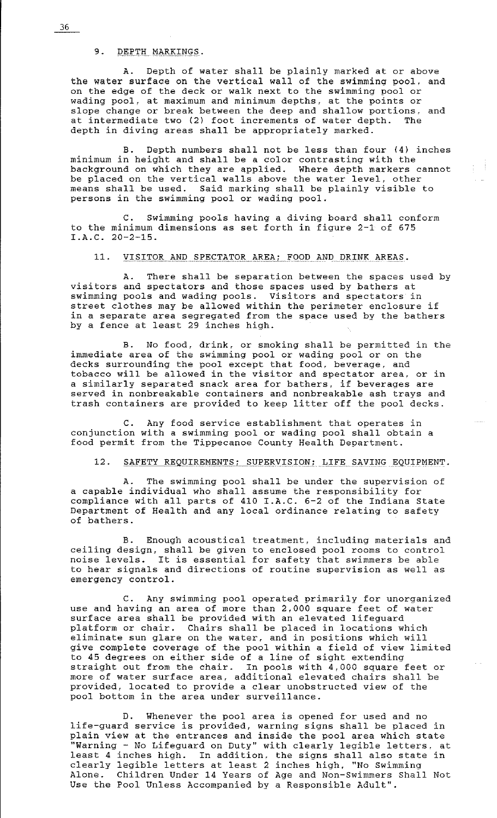#### 9. DEPTH MARKINGS.

A. Depth of water shall be plainly marked at or above the water surface on the vertical wall of the swimming pool, and on the edge of the deck or walk next to the swimming pool or wading pool, at maximum and minimum depths, at the points or slope change or break between the deep and shallow portions, and at intermediate two (2) foot increments of water depth. The depth in diving areas shall be appropriately marked.

B. Depth numbers shall not be less than four (4) inches minimum in height and shall be a color contrasting with the background on which they are applied. Where depth markers cannot be placed on the vertical walls above the water level, other means shall be used. Said marking shall be plainly visible to persons in the swimming pool or wading pool.

 $\left\{ \begin{array}{c} 1 \\ 1 \end{array} \right\}$  .

C. Swimming pools having a diving board shall conform to the minimum dimensions as set forth in figure 2-1 of 675 I.A.C. 20-2-15.

# 11. VISITOR AND SPECTATOR AREA: FOOD AND DRINK AREAS.

A. There shall be separation between the spaces used by visitors and spectators and those spaces used by bathers at swimming pools and wading pools. Visitors and spectators in swimming pools and wading pools. Visitors and spectators in<br>street clothes may be allowed within the perimeter enclosure if in a separate area segregated from the space used by the bathers by a fence at least 29 inches high.

B. No food, drink, or smoking shall be permitted in the immediate area of the swimming pool or wading pool or on the decks surrounding the pool except that food, beverage, and tobacco will be allowed in the visitor and spectator area, or in a similarly separated snack area for bathers, if beverages are served in nonbreakable containers and nonbreakable ash trays and trash containers are provided to keep litter off the pool decks.

C. Any food service establishment that operates in conjunction with a swimming pool or wading pool shall obtain a food permit from the Tippecanoe County Health Department.

## 12. SAFETY REQUIREMENTS; SUPERVISION; LIFE SAVING EQUIPMENT.

A. The swimming pool shall be under the supervision of a capable individual who shall assume the responsibility for compliance with all parts of 410 I.A.C. 6-2 of the Indiana State Department of Health and any local ordinance relating to safety of bathers.

B. Enough acoustical treatment, including materials and ceiling design, shall be given to enclosed pool rooms to control noise levels. It is essential for safety that swimmers be able to hear signals and directions of routine supervision as well as emergency control.

C. Any swimming pool operated primarily for unorganized use and having an area of more than 2,000 square feet of water surface area shall be provided with an elevated lifeguard platform or chair. Chairs shall be placed in locations which eliminate sun glare on the water, and in positions which will give complete coverage of the pool within a field of view limited to 45 degrees on either side of a line of sight extending straight out from the chair. In pools with 4,000 square feet or more of water surface area, additional elevated chairs shall be provided, located to provide a clear unobstructed view of the pool bottom in the area under surveillance.

D. Whenever the pool area is opened for used and no life-guard service is provided, warning signs shall be placed in plain view at the entrances and inside the pool area which state "Warning - No Lifeguard on Duty'' with clearly legible letters, at nurning the fireguard on bacy with crearly registe receeds, at clearly legible letters at least 2 inches high, "No Swimming Alone. Children Under 14 Years of Age and Non-Swimmers Shall Not Use the Pool Unless Accompanied by a Responsible Adult".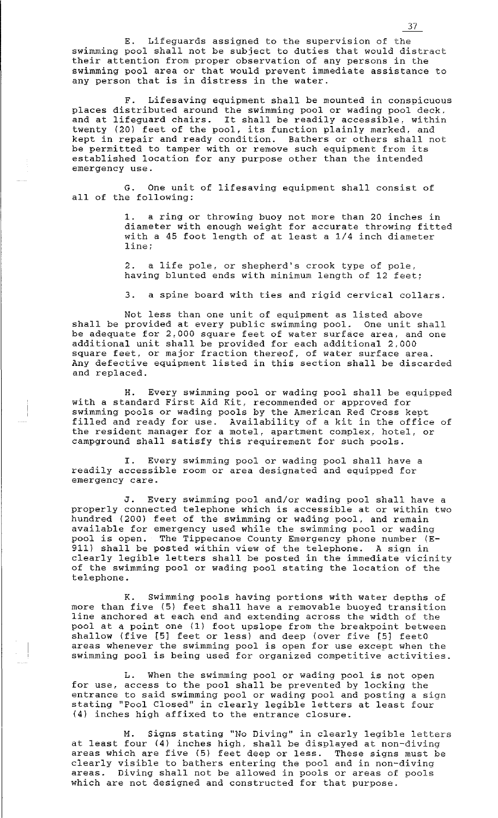E. Lifeguards assigned to the supervision of the swimming pool shall not be subject to duties that would distract their attention from proper observation of any persons in the swimming pool area or that would prevent immediate assistance to any person that is in distress in the water.

F. Lifesaving equipment shall be mounted in conspicuous places distributed around the swimming pool or wading pool deck, and at lifeguard chairs. It shall be readily accessible, within twenty (20) feet of the pool, its function plainly marked, and kept in repair and ready condition. Bathers or others shall not be permitted to tamper with or remove such equipment from its established location for any purpose other than the intended emergency use.

G. One unit of lifesaving equipment shall consist of all of the following:

> a ring or throwing buoy not more than 20 inches in diameter with enough weight for accurate throwing fitted with a 45 foot length of at least a 1/4 inch diameter line;

2. a life pole, or shepherd's crook type of pole, having blunted ends with minimum length of 12 feet;

3. a spine board with ties and rigid cervical collars.

Not less than one unit of equipment as listed above shall be provided at every public swimming pool. One unit shall be adequate for 2,000 square feet of water surface area, and one additional unit shall be provided for each additional 2,000 square feet, or major fraction thereof, of water surface area. Any defective equipment listed in this section shall be discarded and replaced.

H. Every swimming pool or wading pool shall be equipped with a standard First Aid Kit, recommended or approved for swimming pools or wading pools by the American Red Cross kept filled and ready for use. Availability of a kit in the office of the resident manager for a motel, apartment complex, hotel, or campground shall satisfy this requirement for such pools.

I. Every swimming pool or wading pool shall have a readily accessible room or area designated and equipped for emergency care.

J. Every swimming pool and/or wading pool shall have a properly connected telephone which is accessible at or within two hundred (200) feet of the swimming or wading pool, and remain available for emergency used while the swimming pool or wading pool is open. The Tippecanoe County Emergency phone number (E-911) shall be posted within view of the telephone. A sign in clearly legible letters shall be posted in the immediate vicinity of the swimming pool or wading pool stating the location of the telephone.

K. Swimming pools having portions with water depths of more than five (5) feet shall have a removable buoyed transition line anchored at each end and extending across the width of the pool at a point one (1) foot upslope from the breakpoint between shallow (five [5] feet or less) and deep (over five [5] feet0 areas whenever the swimming pool is open for use except when the swimming pool is being used for organized competitive activities.

L. When the swimming pool or wading pool is not open for use, access to the pool shall be prevented by locking the entrance to said swimming pool or wading pool and posting a sign stating "Pool Closed'' in clearly legible letters at least four (4) inches high affixed to the entrance closure.

M. Signs stating ''No Diving'' in clearly legible letters at least four (4) inches high, shall be displayed at non-diving as rease rear (1) mones high, sharp so ansprayed at hon arving<br>areas which are five (5) feet deep or less. These signs must be clearly visible to bathers entering the pool and in non-diving areas. Diving shall not be allowed in pools or areas of pools which are not designed and constructed for that purpose.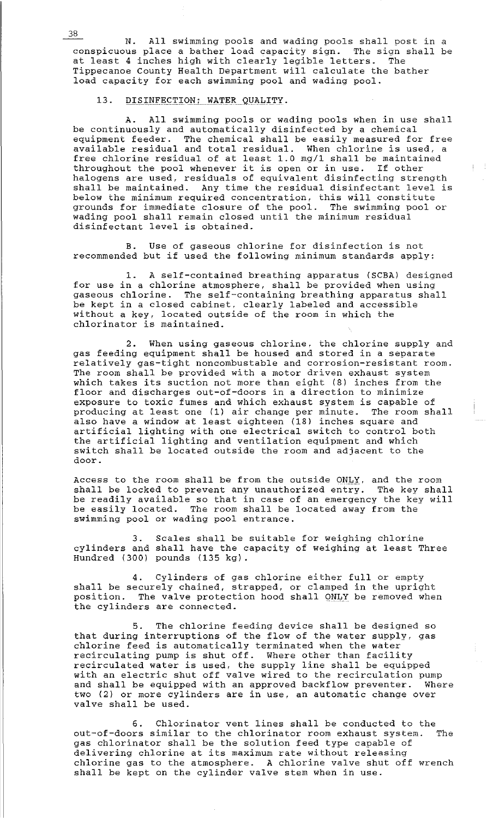N. All swimming pools and wading pools shall post in a conspicuous place a bather load capacity sign. The siqn shall be at least 4 inches high with clearly legible letters. The Tippecanoe County Health Department will calculate the bather load capacity for each swimming pool and wading pool.

### 13. DISINFECTION; WATER QUALITY.

A. All swimming pools or wading pools when in use shall be continuously and automatically disinfected by a chemical equipment feeder. The chemical shall be easily measured for free available residual and total residual. When chlorine is used, a free chlorine residual of at least 1.0 mg/1 shall be maintained free chiorine residual of at least 1.0 mg/f shaff be maintain<br>throughout the pool whenever it is open or in use. If other halogens are used, residuals of equivalent disinfecting strength shall be maintained. Any time the residual disinfectant level is below the minimum required concentration, this will constitute grounds for immediate closure of the pool. The swimming pool or wading pool shall remain closed until the minimum residual disinfectant level is obtained.

 $1 - 1$ 

B. Use of gaseous chlorine for disinfection is not p. bse of gaseous enforme for disinfection is not<br>recommended but if used the following minimum standards apply:

1. A self-contained breathing apparatus (SCBA) designed for use in a chlorine atmosphere, shall be provided when using gaseous chlorine. The self-containing breathing apparatus shall be kept in a closed cabinet, clearly labeled and accessible without a key, located outside of the room in which the chlorinator is maintained.

2. When using gaseous chlorine, the chlorine supply and gas feeding equipment shall be housed and stored in a separate relatively gas-tight noncombustable and corrosion-resistant room. The room shall be provided with a motor driven exhaust system which takes its suction not more than eight (8) inches from the floor and discharges out-of-doors in a direction to minimize exposure to toxic fumes and which exhaust system is capable of producing at least one (1) air change per minute. The room shall also have a window at least eighteen (18) inches square and artificial lighting with one electrical switch to control both the artificial lighting and ventilation equipment and which switch shall be located outside the room and adjacent to the door.

Access to the room shall be from the outside ONLY, and the room shall be locked to prevent any unauthorized entry. The key shall be readily available so that in case of an emergency the key will be easily located. The room shall be located away from the swimming pool or wading pool entrance.

3. Scales shall be suitable for weighing chlorine cylinders and shall have the capacity of weighing at least Three Hundred (300) pounds (135 kg).

4. Cylinders of gas chlorine either full or empty shall be securely chained, strapped, or clamped in the upright position. The valve protection hood shall ONLY be removed when the cylinders are connected.

5. The chlorine feeding device shall be designed so that during interruptions of the flow of the water supply, gas chlorine feed is automatically terminated when the water enforme reed is addomacredify committed when the water recirculated water is used, the supply line shall be equipped recirculated water is deed, one supply time shull be equipped with an electric shut off valve wired to the recirculation pump and shall be equipped with an approved backflow preventer. Where two (2) or more cylinders are in use, an automatic change over valve shall be used.

6. Chlorinator vent lines shall be conducted to the out-of-doors similar to the chlorinator room exhaust system. The gas chlorinator shall be the solution feed type capable of delivering chlorine at its maximum rate without releasing chlorine gas to the atmosphere. A chlorine valve shut off wrench shall be kept on the cylinder valve stem when in use.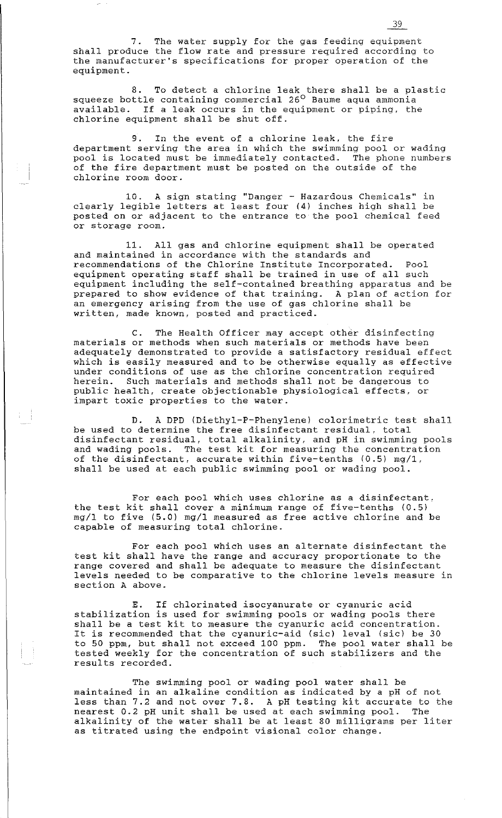7. The water supply for the gas feeding equipment shall produce the flow rate and pressure required according to the manufacturer's specifications for proper operation of the equipment.

8. To detect a chlorine leak there shall be a plastic squeeze bottle containing commercial 26° Baume aqua ammonia available. If a leak occurs in the equipment or piping, the chlorine equipment shall be shut off.

9. In the event of a chlorine leak, the fire department serving the area in which the swimming pool or wading pool is located must be immediately contacted. The phone numbers of the fire department must be posted on the outside of the chlorine room door.

10. A sign stating "Danger - Hazardous Chemicals" in clearly legible letters at least four (4) inches high shall be posted on or adjacent to the entrance to the pool chemical feed or storage room.

11. All gas and chlorine equipment shall be operated and maintained in accordance with the standards and recommendations of the Chlorine Institute Incorporated. Pool equipment operating staff shall be trained in use of all such equipment including the self-contained breathing apparatus and be prepared to show evidence of that training. A plan of action for an emergency arising from the use of gas chlorine shall be written, made known, posted and practiced.

C. The Health Officer may accept other disinfecting materials or methods when such materials or methods have been adequately demonstrated to provide a satisfactory residual effect which is easily measured and to be otherwise equally as effective under conditions of use as the chlorine concentration required herein. Such materials and methods shall not be dangerous to public health, create objectionable physiological effects, or impart toxic properties to the water.

D. A DPD (Diethyl-P-Phenylene) colorimetric test shall be used to determine the free disinfectant residual, total disinfectant residual, total alkalinity, and pH in swimming pools and wading pools. The test kit for measuring the concentration of the disinfectant, accurate within five-tenths (0.5) mg/1, shall be used at each public swimming pool or wading pool.

For each pool which uses chlorine as a disinfectant, the test kit shall cover a minimum range of five-tenths (0.5) mg/l to five (5.0) mg/l measured as free active chlorine and be capable of measuring total chlorine.

For each pool which uses an alternate disinfectant the test kit shall have the range and accuracy proportionate to the range covered and shall be adequate to measure the disinfectant levels needed to be comparative to the chlorine levels measure in section A above.

E. If chlorinated isocyanurate or cyanuric acid stabilization is used for swimming pools or wading pools there shall be a test kit to measure the cyanuric acid concentration. It is recommended that the cyanuric-aid (sic) leval (sic) be 30 to 50 ppm, but shall not exceed 100 ppm. The pool water shall be tested weekly for the concentration of such stabilizers and the results recorded.

The swimming pool or wading pool water shall be maintained in an alkaline condition as indicated by a pH of not less than 7.2 and not over 7.8. A pH testing kit accurate to the nearest 0.2 pH unit shall be used at each swimming pool. The alkalinity of the water shall be at least 80 milligrams per liter as titrated using the endpoint visional color change.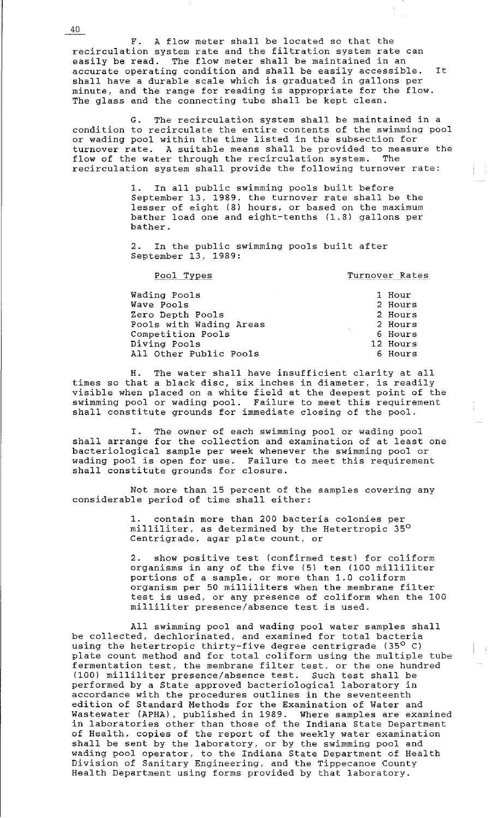F. A flow meter shall be located so that the recirculation system rate and the filtration system rate can easily be read. The flow meter shall be maintained in an accurate operating condition and shall be easily accessible. It shall have a durable scale which is graduated in gallons per minute, and the range for reading is appropriate for the flow. The glass and the connecting tube shall be kept clean.

G. The recirculation system shall be maintained in a condition to recirculate the entire contents of the swimming pool or wading pool within the time listed in the subsection for turnover rate. A suitable means shall be provided to measure the flow of the water through the recirculation system. The recirculation system shall provide the following turnover rate:

> 1. In all public swimming pools built before September 13, 1989, the turnover rate shall be the lesser of eight (8) hours, or based on the maximum bather load one and eight-tenths (1.8) gallons per bather.

2. In the public swimming pools built after September 13, 1989:

Pool Types Turnover Rates

| Wading Pools<br>the control of the control |                   | 1 Hour   |
|--------------------------------------------|-------------------|----------|
| Wave Pools                                 |                   | 2 Hours  |
| Zero Depth Pools                           |                   | 2 Hours  |
| Pools with Wading Areas                    | $\lambda_{\rm L}$ | 2 Hours  |
| Competition Pools                          |                   | 6 Hours  |
| Diving Pools                               |                   | 12 Hours |
| All Other Public Pools                     |                   | 6 Hours  |

H. The water shall have insufficient clarity at all times so that a black disc, six inches in diameter, is readily visible when placed on a white field at the deepest point of the swimming pool or wading pool. Failure to meet this requirement shall constitute grounds for immediate closing of the pool.

I. The owner of each swimming pool or wading pool shall arrange for the collection and examination of at least one bacteriological sample per week whenever the swimming pool or wading pool is open for use. Failure to meet this requirement shall constitute grounds for closure.

Not more than 15 percent of the samples covering any considerable period of time shall either:

> 1. contain more than 200 bacteria colonies per milliliter, as determined by the Hetertropic 35<sup>°</sup> Centrigrade, agar plate count, or

2. show positive test (confirmed test) for coliform organisms in any of the five (5) ten (100 milliliter portions of a sample, or more than 1.0 coliform organism per 50 milliliters when the membrane filter test is used, or any presence of coliform when the 100 milliliter presence/absence test is used.

All swimming pool and wading pool water samples shall be collected, dechlorinated, and examined for total bacteria using the hetertropic thirty-five degree centrigrade (35<sup>°</sup> C) plate count method and for total coliform using the multiple tube fermentation test, the membrane filter test, or the one hundred (100) milliliter presence/absence test. Such test shall be performed by a State approved bacteriological laboratory in accordance with the procedures outlines in the seventeenth edition of Standard Methods for the Examination of Water and Wastewater (APHA), published in 1989. Where samples are examined in laboratories other than those of the Indiana State Department of Health, copies of the report of the weekly water examination shall be sent by the laboratory, or by the swimming pool and wading pool operator, to the Indiana State Department of Health Division of Sanitary Engineering, and the Tippecanoe County Erthoron or sanroary ingineering, and one rippeeance coancy.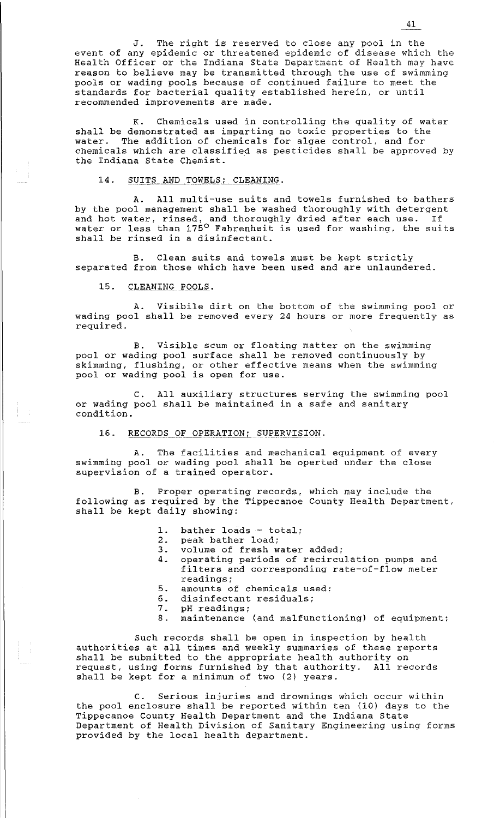J. The right is reserved to close any pool in the event of any epidemic or threatened epidemic of disease which the Health Officer or the Indiana State Department of Health may have reason to believe may be transmitted through the use of swimming pools or wading pools because of continued failure to meet the standards for bacterial quality established herein. or until recommended improvements are made.

K. Chemicals used in controlling the quality of water shall be demonstrated as imparting no toxic properties to the water. The addition of chemicals for algae control, and for chemicals which are classified as pesticides shall be approved by the Indiana State Chemist.

#### 14. SUITS AND TOWELS: CLEANING.

A. All multi-use suits and towels furnished to bathers by the pool management shall be washed thoroughly with detergent by the poor management bindin be wabhed enoroughly with decergent and not water, finsed, and thoroughly dried after each use. If shall be rinsed in a disinfectant.

B. Clean suits and towels must be kept strictly separated from those which have been used and are unlaundered.

### 15. CLEANING POOLS.

A. Visibile dirt on the bottom of the swimming pool or wading pool shall be removed every 24 hours or more frequently as required.

B. Visible scum or floating matter on the swimming pool or wading pool surface shall be removed continuously by skimming, flushing, or other effective means when the swimming pool or wading pool is open for use.

C. All auxiliary structures serving the swimming pool or wading pool shall be maintained in a safe and sanitary condition.

#### 16. RECORDS OF OPERATION; SUPERVISION.

A. The facilities and mechanical equipment of every swimming pool or wading pool shall be operted under the close supervision of a trained operator.

B. Proper operating records, which may include the following as required by the Tippecanoe County Health Department, shall be kept daily showing:

- 1. bather loads total;<br>2. peak bather load;
- peak bather load;
- 3. volume of fresh water added;<br>4. operating periods of recircu
- 4. operating periods of recirculation pumps and filters and corresponding rate-of-flow meter readings;
- 5. amounts of chemicals used;
- 6. disinfectant residuals;<br>7. pH readings;
- 7. pH readings;<br>8. maintenance
- maintenance (and malfunctioning) of equipment;

Such records shall be open in inspection by health authorities at all times and weekly summaries of these reports shall be submitted to the appropriate health authority on request, using forms furnished by that authority. All records shall be kept for a minimum of two (2) years.

C. Serious injuries and drownings which occur within the pool enclosure shall be reported within ten (10) days to the Tippecanoe County Health Department and the Indiana State Department of Health Division of Sanitary Engineering using forms provided by the local health department.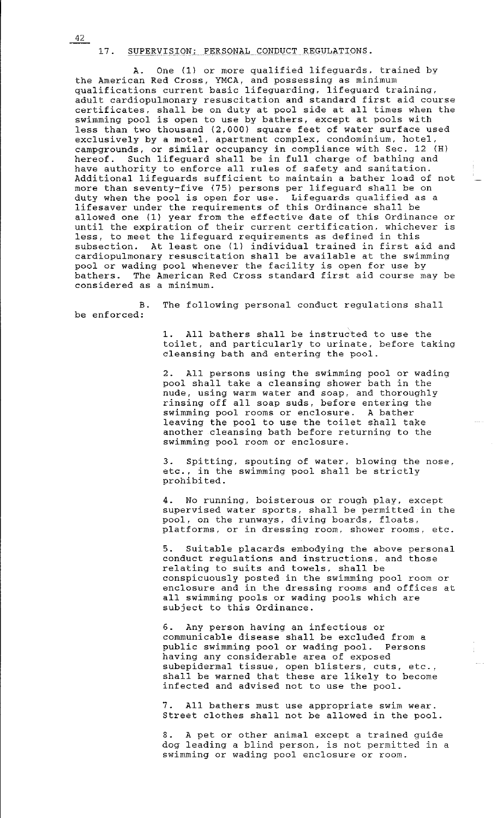#### 17. SUPERVISION; PERSONAL CONDUCT REGULATIONS.

A. One (1) or more qualified lifeguards. trained by the American Red Cross, YMCA, and possessing as minimum qualifications current basic lifeguarding, lifeguard training, adult cardiopulmonary resuscitation and standard first aid course certificates, shall be on duty at pool side at all times when the swimming pool is open to use by bathers, except at pools with less than two thousand (2,000) square feet of water surface used exclusively by a motel, apartment complex, condominium, hotel, campgrounds, or similar occupancy in compliance with Sec. 12 (H) hereof. Such lifeguard shall be in full charge of bathing and have authority to enforce all rules of safety and sanitation. Additional lifeguards sufficient to maintain a bather load of not more than seventy-five (75) persons per lifeguard shall be on more than sevency five (75) persons per fireguard shaff be on lifesaver under the requirements of this Ordinance shall be allowed one (1) year from the effective date of this Ordinance or until the expiration of their current certification. whichever is less, to meet the lifeguard requirements as defined in this subsection. At least one (1) individual trained in first aid and cardiopulmonary resuscitation shall be available at the swimming pool or wading pool whenever the facility is open for use by bathers. The American Red Cross standard first aid course may be considered as a minimum.

B. The following personal conduct regulations shall be enforced:

> 1. All bathers shall be instructed to use the toilet, and particularly to urinate, before taking cleansing bath and entering the pool.

2. All persons using the swimming pool or wading pool shall take a cleansing shower bath in the .<br>nude, using warm water and soap, and thoroughly ndue, using waim water and soap, and thorought, swimming pool rooms or enclosure. A bather leaving the pool to use the toilet shall take another cleansing bath before returning to the swimming pool room or enclosure.

3. Spitting, spouting of water, blowing the nose, etc., in the swimming pool shall be strictly prohibited.

4. No running, boisterous or rough play, except supervised water sports, shall be permitted in the pool, on the runways, diving boards, floats, platforms, or in dressing room, shower rooms, etc.

5. Suitable placards embodying the above personal conduct regulations and instructions, and those relating to suits and towels, shall be conspicuously posted in the swimming pool room or enclosure and in the dressing rooms and offices at all swimming pools or wading pools which are subject to this Ordinance.

6. Any person having an infectious or communicable disease shall be excluded from a public swimming pool or wading pool. Persons having any considerable area of exposed subepidermal tissue, open blisters, cuts, etc. shall be warned that these are likely to become infected and advised not to use the pool.

7. All bathers must use appropriate swim wear. Street clothes shall not be allowed in the pool.

8. A pet or other animal except a trained guide dog leading a blind person, is not permitted in a swimming or wading pool enclosure or room.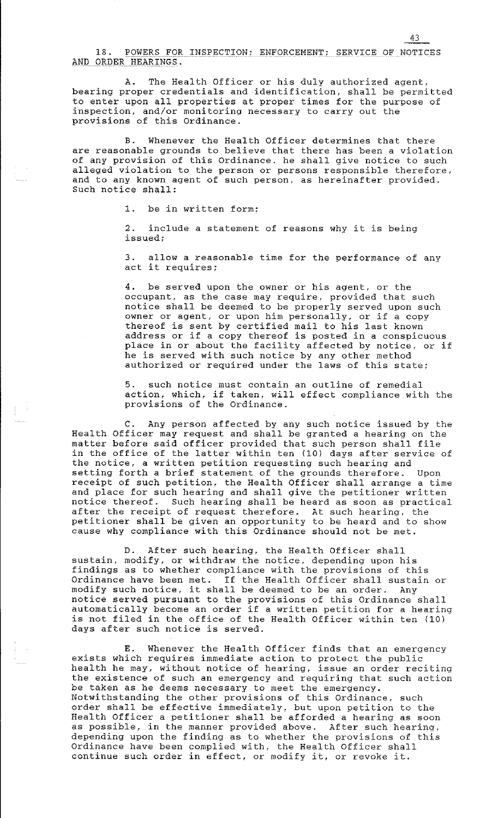18. POWERS FOR INSPECTION; ENFORCEMENT; SERVICE OF NOTICES AND ORDER HEARINGS.

A. The Health Officer or his duly authorized agent. bearing proper credentials and identification, shall be permitted to enter upon all properties at proper times for the purpose of inspection, and/or monitoring necessary to carry out the provisions of this Ordinance.

B. Whenever the Health Officer determines that there are reasonable grounds to believe that there has been a violation of any provision of this Ordinance. he shall give notice to such alleged violation to the person or persons responsible therefore. and to any known agent of such person, as hereinafter provided. Such notice shall:

1. be in written form;

2. include a statement of reasons why it is being **issued;** 

3. allow a reasonable time for the performance of any act it requires;

4. be served upon the owner or his agent, or the occupant, as the case may require, provided that such notice shall be deemed to be properly served upon such owner or agent, or upon him personally, or if a copy thereof is sent by certified mail to his last known address or if a copy thereof is posted in a conspicuous place in or about the facility affected by notice, or if he is served with such notice by any other method authorized or required under the laws of this state;

5. such notice must contain an outline of remedial action, which, if taken, will effect compliance with the provisions of the Ordinance.

C. Any person affected by any such notice issued by the Health Officer may request and shall be granted a hearing on the matter before said officer provided that such person shall file matter before said crifter provided that such person shaff fife<br>in the office of the latter within ten (10) days after service of In the tritted of the factor wrongh (iv, days after Service of setting forth a brief statement of the grounds therefore. Upon receipt of such petition, the Health Officer shall arrange a time and place for such hearing and shall give the petitioner written notice thereof. Such hearing shall be heard as soon as practical after the receipt of request therefore. At such hearing. the petitioner shall be given an opportunity to be heard and to show cause why compliance with this Ordinance should not be met.

D. After such hearing, the Health Officer shall sustain, modify, or withdraw the notice, depending upon his findings as to whether compliance with the provisions of this Ordinance have been met. If the Health Officer shall sustain or ordinance nave been met. It the health officer shall susta:<br>modify such notice, it shall be deemed to be an order. Any medial seem notice, is shall so docked to so an order. The shall automatically become an order if a written petition for a hearing is not filed in the office of the Health Officer within ten (10) days after such notice is served.

E. Whenever the Health Officer finds that an emergency exists which requires immediate action to protect the public health he may, without notice of hearing, issue an order reciting the existence of such an emergency and requiring that such action be taken as he deems necessary to meet the emergency. Notwithstanding the other provisions of this Ordinance, such order shall be effective immediately, but upon petition to the Health Officer a petitioner shall be afforded a hearing as soon as possible, in the manner provided above. After such hearing, depending upon the finding as to whether the provisions of this Ordinance have been complied with, the Health Officer shall continue such order in effect, or modify it, or revoke it.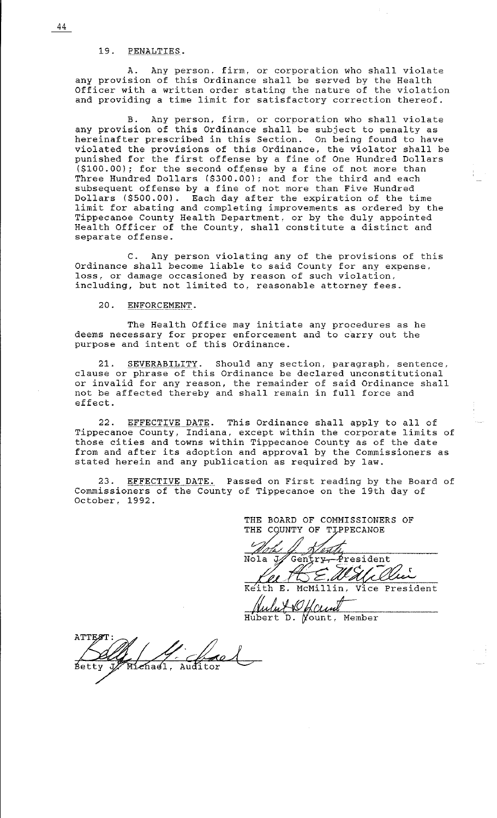19. PENALTIES.

A. Any person, firm, or corporacion who shall violate any provision of this Ordinance shall be served by the Health Officer with a written order stating the nature of the violation and providing a time limit for satisfactory correction thereof.

B. Any person, firm, or corporation who shall violate any provision of this Ordinance shall be subject to penalty as hereinafter prescribed in this Section. On being found to have violated the provisions of this Ordinance, the violator shall be punished for the first offense by a fine of One Hundred Dollars (\$100.00); for the second offense by a fine of not more than Three Hundred Dollars (\$300.00); and for the third and each subsequent offense by a fine of not more than Five Hundred Dollars (\$500.00). Each day after the expiration of the time limit for abating and completing improvements as ordered by the Tippecanoe County Health Department, or by the duly appointed Health Officer of the County, shall constitute a distinct and separate offense.

C. Any person violating any of the provisions of this Ordinance shall become liable to said County for any expense, loss, or damage occasioned by reason of such violation, including, but not limited to, reasonable attorney fees.

20. ENFORCEMENT.

The Health Office may initiate any procedures as he deems necessary for proper enforcement and to carry out the purpose and intent of this Ordinance.

21. SEVERABILITY. Should any section, paragraph, sentence, clause or phrase of this Ordinance be declared unconstitutional or invalid for any reason, the remainder of said Ordinance shall not be affected thereby and shall remain in full force and effect.

22. EFFECTIVE DATE. This Ordinance shall apply to all of Tippecanoe County, Indiana, except within the corporate limits of those cities and towns within Tippecanoe County as of the date from and after its adoption and approval by the Commissioners as stated herein and any publication as required by law.

23. EFFECTIVE DATE. Passed on First reading by the Board of Commissioners of the County of Tippecanoe on the 19th day of October, 1992.

> THE BOARD OF COMMISSIONERS OF THE COUNTY OF TIPPECANOE

in f Nola  $\acute{\texttt{F}}$ resident Gentry, Wali Chi

Kel/WE, Walller

Julut V <u>Gaunt</u>

ATTEST fred Míchael.